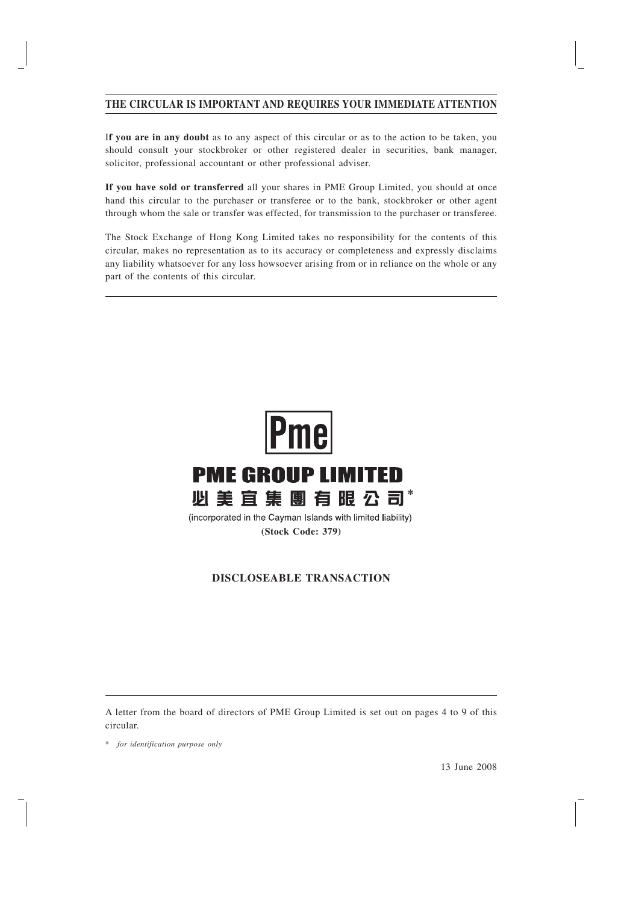# **THE CIRCULAR IS IMPORTANT AND REQUIRES YOUR IMMEDIATE ATTENTION**

I**f you are in any doubt** as to any aspect of this circular or as to the action to be taken, you should consult your stockbroker or other registered dealer in securities, bank manager, solicitor, professional accountant or other professional adviser.

**If you have sold or transferred** all your shares in PME Group Limited, you should at once hand this circular to the purchaser or transferee or to the bank, stockbroker or other agent through whom the sale or transfer was effected, for transmission to the purchaser or transferee.

The Stock Exchange of Hong Kong Limited takes no responsibility for the contents of this circular, makes no representation as to its accuracy or completeness and expressly disclaims any liability whatsoever for any loss howsoever arising from or in reliance on the whole or any part of the contents of this circular.



**(Stock Code: 379)**

# **DISCLOSEABLE TRANSACTION**

A letter from the board of directors of PME Group Limited is set out on pages 4 to 9 of this circular.

\* *for identification purpose only*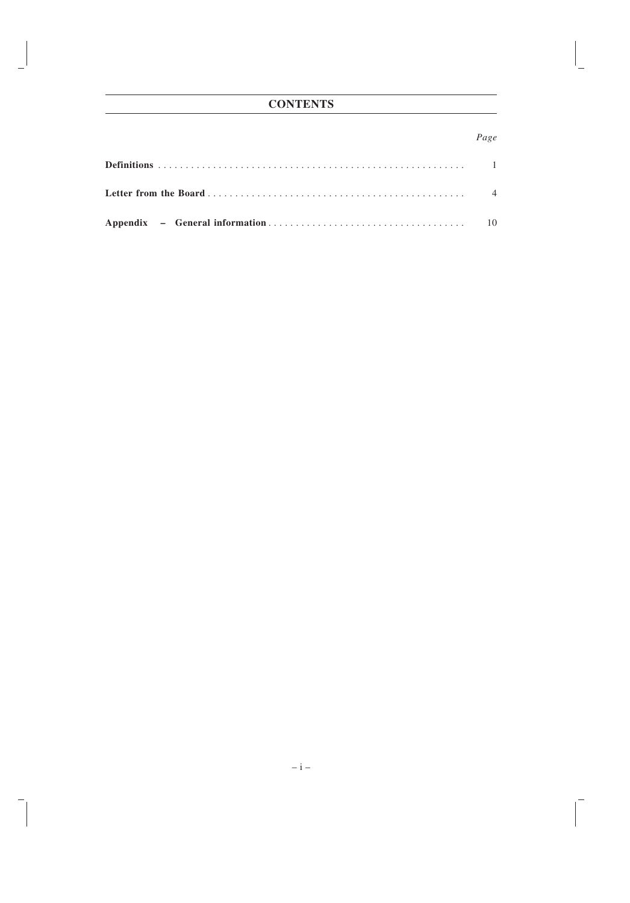# **CONTENTS**

# *Page*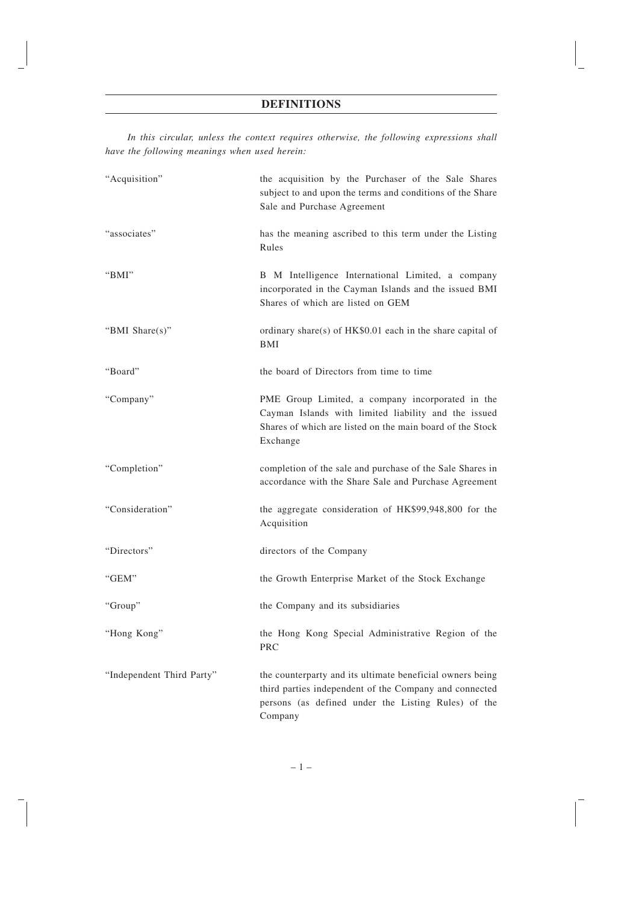# **DEFINITIONS**

*In this circular, unless the context requires otherwise, the following expressions shall have the following meanings when used herein:*

| "Acquisition"             | the acquisition by the Purchaser of the Sale Shares<br>subject to and upon the terms and conditions of the Share<br>Sale and Purchase Agreement                                       |
|---------------------------|---------------------------------------------------------------------------------------------------------------------------------------------------------------------------------------|
| "associates"              | has the meaning ascribed to this term under the Listing<br>Rules                                                                                                                      |
| " $BMI$ "                 | B M Intelligence International Limited, a company<br>incorporated in the Cayman Islands and the issued BMI<br>Shares of which are listed on GEM                                       |
| "BMI Share(s)"            | ordinary share(s) of HK\$0.01 each in the share capital of<br>BMI                                                                                                                     |
| "Board"                   | the board of Directors from time to time                                                                                                                                              |
| "Company"                 | PME Group Limited, a company incorporated in the<br>Cayman Islands with limited liability and the issued<br>Shares of which are listed on the main board of the Stock<br>Exchange     |
| "Completion"              | completion of the sale and purchase of the Sale Shares in<br>accordance with the Share Sale and Purchase Agreement                                                                    |
| "Consideration"           | the aggregate consideration of HK\$99,948,800 for the<br>Acquisition                                                                                                                  |
| "Directors"               | directors of the Company                                                                                                                                                              |
| "GEM"                     | the Growth Enterprise Market of the Stock Exchange                                                                                                                                    |
| "Group"                   | the Company and its subsidiaries                                                                                                                                                      |
| "Hong Kong"               | the Hong Kong Special Administrative Region of the<br><b>PRC</b>                                                                                                                      |
| "Independent Third Party" | the counterparty and its ultimate beneficial owners being<br>third parties independent of the Company and connected<br>persons (as defined under the Listing Rules) of the<br>Company |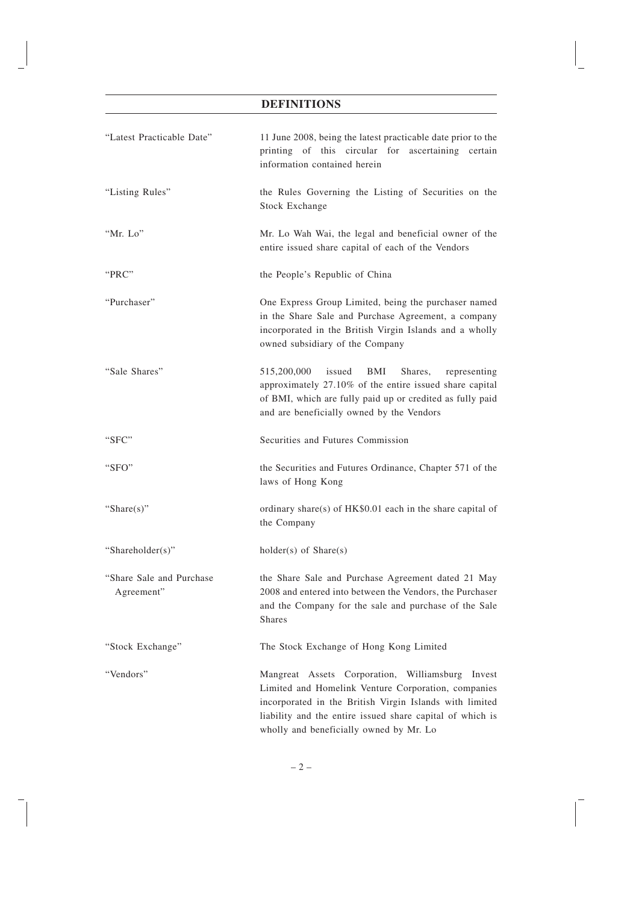# **DEFINITIONS**

| "Latest Practicable Date"               | 11 June 2008, being the latest practicable date prior to the<br>printing of this circular for ascertaining certain<br>information contained herein                                                                                                                            |  |  |
|-----------------------------------------|-------------------------------------------------------------------------------------------------------------------------------------------------------------------------------------------------------------------------------------------------------------------------------|--|--|
| "Listing Rules"                         | the Rules Governing the Listing of Securities on the<br><b>Stock Exchange</b>                                                                                                                                                                                                 |  |  |
| "Mr. Lo"                                | Mr. Lo Wah Wai, the legal and beneficial owner of the<br>entire issued share capital of each of the Vendors                                                                                                                                                                   |  |  |
| "PRC"                                   | the People's Republic of China                                                                                                                                                                                                                                                |  |  |
| "Purchaser"                             | One Express Group Limited, being the purchaser named<br>in the Share Sale and Purchase Agreement, a company<br>incorporated in the British Virgin Islands and a wholly<br>owned subsidiary of the Company                                                                     |  |  |
| "Sale Shares"                           | 515,200,000<br>issued<br>BMI<br>Shares,<br>representing<br>approximately 27.10% of the entire issued share capital<br>of BMI, which are fully paid up or credited as fully paid<br>and are beneficially owned by the Vendors                                                  |  |  |
| "SFC"                                   | Securities and Futures Commission                                                                                                                                                                                                                                             |  |  |
| "SFO"                                   | the Securities and Futures Ordinance, Chapter 571 of the<br>laws of Hong Kong                                                                                                                                                                                                 |  |  |
| "Share $(s)$ "                          | ordinary share(s) of HK\$0.01 each in the share capital of<br>the Company                                                                                                                                                                                                     |  |  |
| "Shareholder(s)"                        | $holder(s)$ of $Share(s)$                                                                                                                                                                                                                                                     |  |  |
| "Share Sale and Purchase"<br>Agreement" | the Share Sale and Purchase Agreement dated 21 May<br>2008 and entered into between the Vendors, the Purchaser<br>and the Company for the sale and purchase of the Sale<br><b>Shares</b>                                                                                      |  |  |
| "Stock Exchange"                        | The Stock Exchange of Hong Kong Limited                                                                                                                                                                                                                                       |  |  |
| "Vendors"                               | Mangreat Assets Corporation, Williamsburg<br>Invest<br>Limited and Homelink Venture Corporation, companies<br>incorporated in the British Virgin Islands with limited<br>liability and the entire issued share capital of which is<br>wholly and beneficially owned by Mr. Lo |  |  |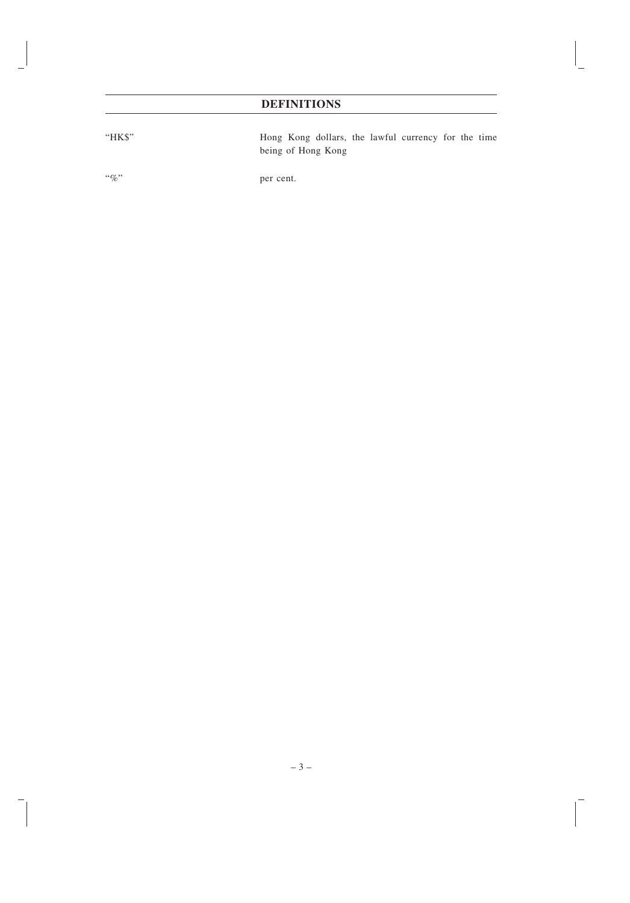# **DEFINITIONS**

"HK\$" Hong Kong dollars, the lawful currency for the time being of Hong Kong

"%" per cent.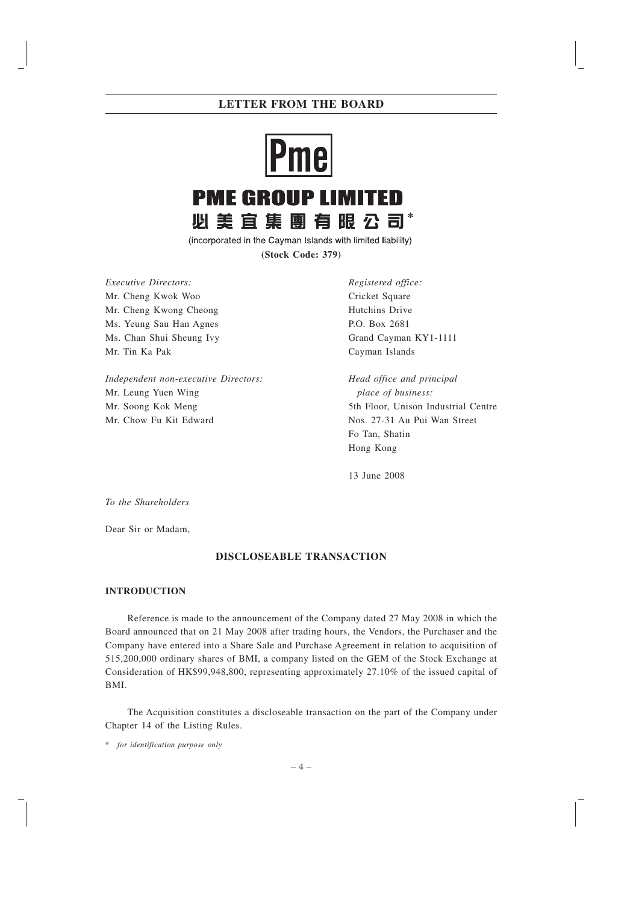# **Pme PME GROUP LIMITED 必美宜集團有眼公司** \*

(incorporated in the Cayman Islands with limited liability) **(Stock Code: 379)**

*Executive Directors:* Mr. Cheng Kwok Woo Mr. Cheng Kwong Cheong Ms. Yeung Sau Han Agnes Ms. Chan Shui Sheung Ivy

Mr. Tin Ka Pak

*Independent non-executive Directors:* Mr. Leung Yuen Wing Mr. Soong Kok Meng Mr. Chow Fu Kit Edward

*Registered office:* Cricket Square Hutchins Drive P.O. Box 2681 Grand Cayman KY1-1111 Cayman Islands

*Head office and principal place of business:* 5th Floor, Unison Industrial Centre Nos. 27-31 Au Pui Wan Street Fo Tan, Shatin Hong Kong

13 June 2008

*To the Shareholders*

Dear Sir or Madam,

# **DISCLOSEABLE TRANSACTION**

# **INTRODUCTION**

Reference is made to the announcement of the Company dated 27 May 2008 in which the Board announced that on 21 May 2008 after trading hours, the Vendors, the Purchaser and the Company have entered into a Share Sale and Purchase Agreement in relation to acquisition of 515,200,000 ordinary shares of BMI, a company listed on the GEM of the Stock Exchange at Consideration of HK\$99,948,800, representing approximately 27.10% of the issued capital of BMI.

The Acquisition constitutes a discloseable transaction on the part of the Company under Chapter 14 of the Listing Rules.

<sup>\*</sup> *for identification purpose only*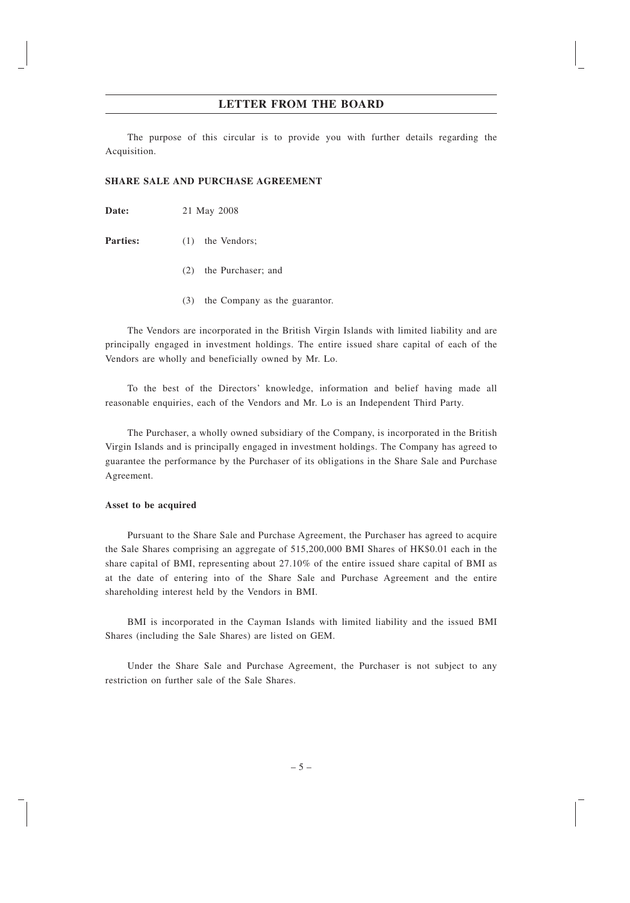The purpose of this circular is to provide you with further details regarding the Acquisition.

#### **SHARE SALE AND PURCHASE AGREEMENT**

**Date:** 21 May 2008

**Parties:** (1) the Vendors;

- (2) the Purchaser; and
- (3) the Company as the guarantor.

The Vendors are incorporated in the British Virgin Islands with limited liability and are principally engaged in investment holdings. The entire issued share capital of each of the Vendors are wholly and beneficially owned by Mr. Lo.

To the best of the Directors' knowledge, information and belief having made all reasonable enquiries, each of the Vendors and Mr. Lo is an Independent Third Party.

The Purchaser, a wholly owned subsidiary of the Company, is incorporated in the British Virgin Islands and is principally engaged in investment holdings. The Company has agreed to guarantee the performance by the Purchaser of its obligations in the Share Sale and Purchase Agreement.

#### **Asset to be acquired**

Pursuant to the Share Sale and Purchase Agreement, the Purchaser has agreed to acquire the Sale Shares comprising an aggregate of 515,200,000 BMI Shares of HK\$0.01 each in the share capital of BMI, representing about 27.10% of the entire issued share capital of BMI as at the date of entering into of the Share Sale and Purchase Agreement and the entire shareholding interest held by the Vendors in BMI.

BMI is incorporated in the Cayman Islands with limited liability and the issued BMI Shares (including the Sale Shares) are listed on GEM.

Under the Share Sale and Purchase Agreement, the Purchaser is not subject to any restriction on further sale of the Sale Shares.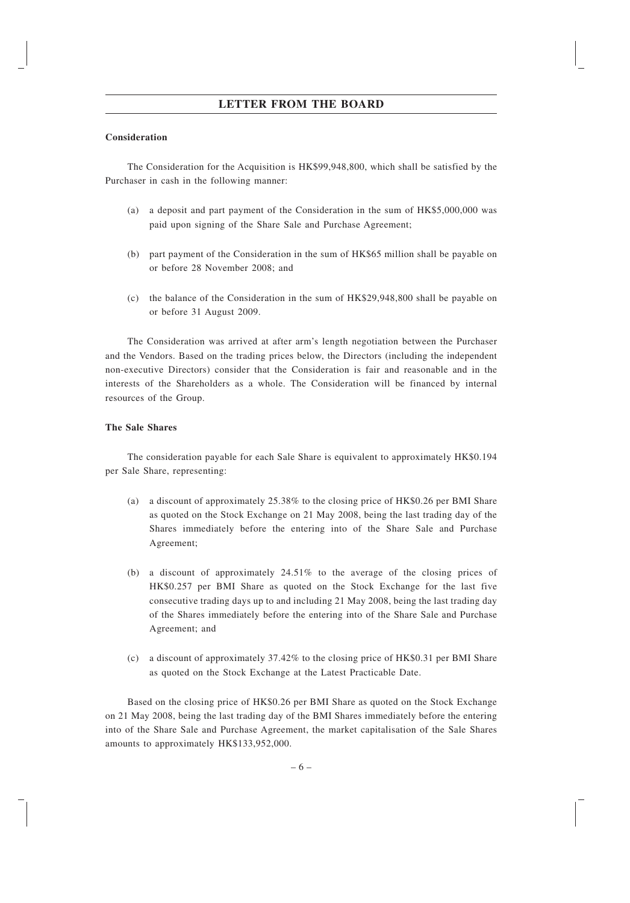#### **Consideration**

The Consideration for the Acquisition is HK\$99,948,800, which shall be satisfied by the Purchaser in cash in the following manner:

- (a) a deposit and part payment of the Consideration in the sum of HK\$5,000,000 was paid upon signing of the Share Sale and Purchase Agreement;
- (b) part payment of the Consideration in the sum of HK\$65 million shall be payable on or before 28 November 2008; and
- (c) the balance of the Consideration in the sum of HK\$29,948,800 shall be payable on or before 31 August 2009.

The Consideration was arrived at after arm's length negotiation between the Purchaser and the Vendors. Based on the trading prices below, the Directors (including the independent non-executive Directors) consider that the Consideration is fair and reasonable and in the interests of the Shareholders as a whole. The Consideration will be financed by internal resources of the Group.

#### **The Sale Shares**

The consideration payable for each Sale Share is equivalent to approximately HK\$0.194 per Sale Share, representing:

- (a) a discount of approximately 25.38% to the closing price of HK\$0.26 per BMI Share as quoted on the Stock Exchange on 21 May 2008, being the last trading day of the Shares immediately before the entering into of the Share Sale and Purchase Agreement;
- (b) a discount of approximately 24.51% to the average of the closing prices of HK\$0.257 per BMI Share as quoted on the Stock Exchange for the last five consecutive trading days up to and including 21 May 2008, being the last trading day of the Shares immediately before the entering into of the Share Sale and Purchase Agreement; and
- (c) a discount of approximately 37.42% to the closing price of HK\$0.31 per BMI Share as quoted on the Stock Exchange at the Latest Practicable Date.

Based on the closing price of HK\$0.26 per BMI Share as quoted on the Stock Exchange on 21 May 2008, being the last trading day of the BMI Shares immediately before the entering into of the Share Sale and Purchase Agreement, the market capitalisation of the Sale Shares amounts to approximately HK\$133,952,000.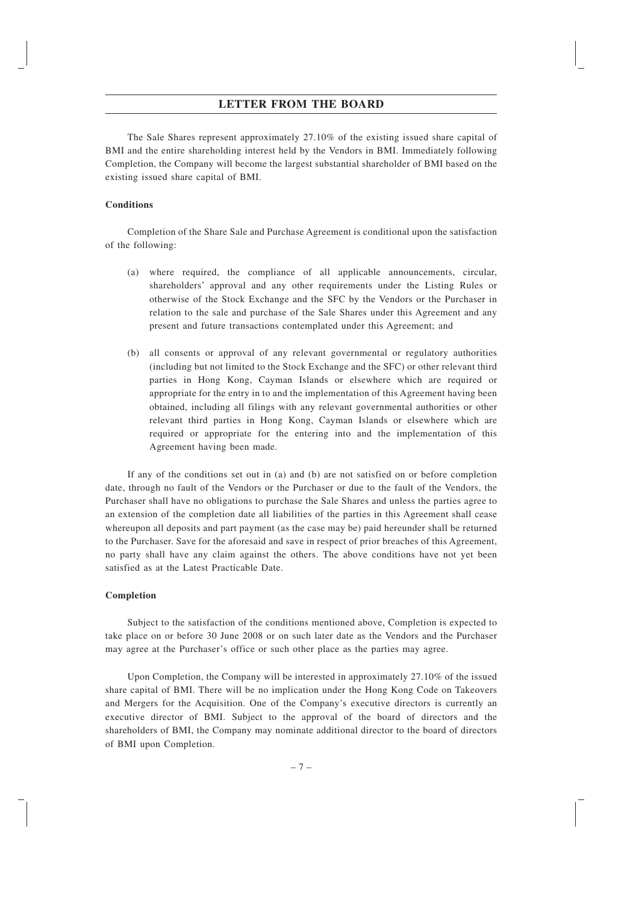The Sale Shares represent approximately 27.10% of the existing issued share capital of BMI and the entire shareholding interest held by the Vendors in BMI. Immediately following Completion, the Company will become the largest substantial shareholder of BMI based on the existing issued share capital of BMI.

#### **Conditions**

Completion of the Share Sale and Purchase Agreement is conditional upon the satisfaction of the following:

- (a) where required, the compliance of all applicable announcements, circular, shareholders' approval and any other requirements under the Listing Rules or otherwise of the Stock Exchange and the SFC by the Vendors or the Purchaser in relation to the sale and purchase of the Sale Shares under this Agreement and any present and future transactions contemplated under this Agreement; and
- (b) all consents or approval of any relevant governmental or regulatory authorities (including but not limited to the Stock Exchange and the SFC) or other relevant third parties in Hong Kong, Cayman Islands or elsewhere which are required or appropriate for the entry in to and the implementation of this Agreement having been obtained, including all filings with any relevant governmental authorities or other relevant third parties in Hong Kong, Cayman Islands or elsewhere which are required or appropriate for the entering into and the implementation of this Agreement having been made.

If any of the conditions set out in (a) and (b) are not satisfied on or before completion date, through no fault of the Vendors or the Purchaser or due to the fault of the Vendors, the Purchaser shall have no obligations to purchase the Sale Shares and unless the parties agree to an extension of the completion date all liabilities of the parties in this Agreement shall cease whereupon all deposits and part payment (as the case may be) paid hereunder shall be returned to the Purchaser. Save for the aforesaid and save in respect of prior breaches of this Agreement, no party shall have any claim against the others. The above conditions have not yet been satisfied as at the Latest Practicable Date.

#### **Completion**

Subject to the satisfaction of the conditions mentioned above, Completion is expected to take place on or before 30 June 2008 or on such later date as the Vendors and the Purchaser may agree at the Purchaser's office or such other place as the parties may agree.

Upon Completion, the Company will be interested in approximately 27.10% of the issued share capital of BMI. There will be no implication under the Hong Kong Code on Takeovers and Mergers for the Acquisition. One of the Company's executive directors is currently an executive director of BMI. Subject to the approval of the board of directors and the shareholders of BMI, the Company may nominate additional director to the board of directors of BMI upon Completion.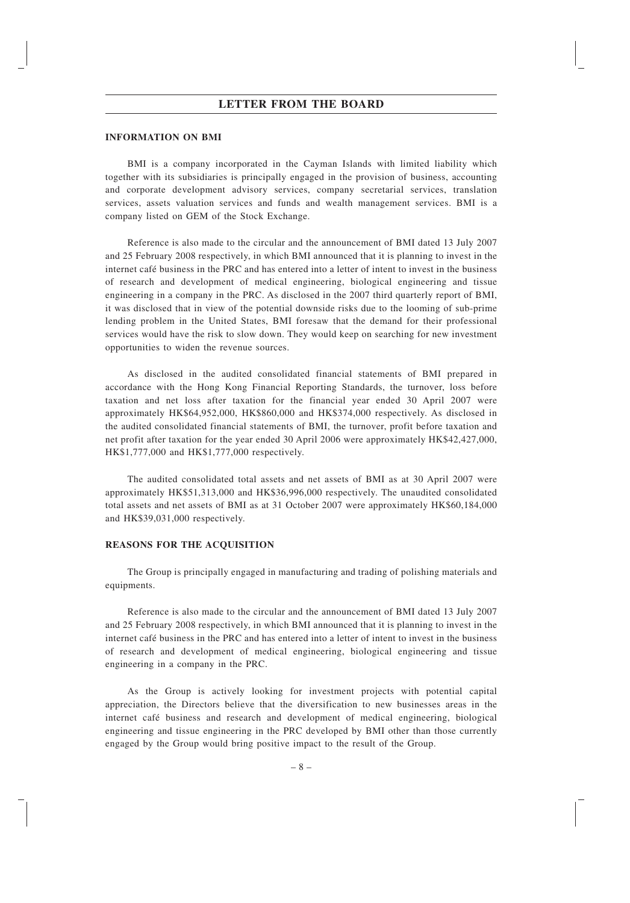#### **INFORMATION ON BMI**

BMI is a company incorporated in the Cayman Islands with limited liability which together with its subsidiaries is principally engaged in the provision of business, accounting and corporate development advisory services, company secretarial services, translation services, assets valuation services and funds and wealth management services. BMI is a company listed on GEM of the Stock Exchange.

Reference is also made to the circular and the announcement of BMI dated 13 July 2007 and 25 February 2008 respectively, in which BMI announced that it is planning to invest in the internet café business in the PRC and has entered into a letter of intent to invest in the business of research and development of medical engineering, biological engineering and tissue engineering in a company in the PRC. As disclosed in the 2007 third quarterly report of BMI, it was disclosed that in view of the potential downside risks due to the looming of sub-prime lending problem in the United States, BMI foresaw that the demand for their professional services would have the risk to slow down. They would keep on searching for new investment opportunities to widen the revenue sources.

As disclosed in the audited consolidated financial statements of BMI prepared in accordance with the Hong Kong Financial Reporting Standards, the turnover, loss before taxation and net loss after taxation for the financial year ended 30 April 2007 were approximately HK\$64,952,000, HK\$860,000 and HK\$374,000 respectively. As disclosed in the audited consolidated financial statements of BMI, the turnover, profit before taxation and net profit after taxation for the year ended 30 April 2006 were approximately HK\$42,427,000, HK\$1,777,000 and HK\$1,777,000 respectively.

The audited consolidated total assets and net assets of BMI as at 30 April 2007 were approximately HK\$51,313,000 and HK\$36,996,000 respectively. The unaudited consolidated total assets and net assets of BMI as at 31 October 2007 were approximately HK\$60,184,000 and HK\$39,031,000 respectively.

#### **REASONS FOR THE ACQUISITION**

The Group is principally engaged in manufacturing and trading of polishing materials and equipments.

Reference is also made to the circular and the announcement of BMI dated 13 July 2007 and 25 February 2008 respectively, in which BMI announced that it is planning to invest in the internet café business in the PRC and has entered into a letter of intent to invest in the business of research and development of medical engineering, biological engineering and tissue engineering in a company in the PRC.

As the Group is actively looking for investment projects with potential capital appreciation, the Directors believe that the diversification to new businesses areas in the internet cafe´ business and research and development of medical engineering, biological engineering and tissue engineering in the PRC developed by BMI other than those currently engaged by the Group would bring positive impact to the result of the Group.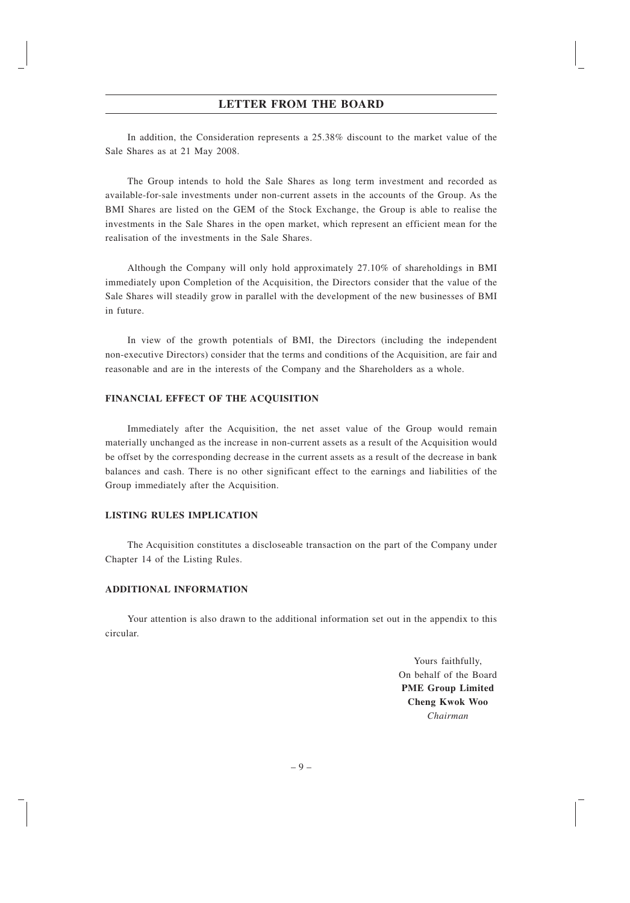In addition, the Consideration represents a 25.38% discount to the market value of the Sale Shares as at 21 May 2008.

The Group intends to hold the Sale Shares as long term investment and recorded as available-for-sale investments under non-current assets in the accounts of the Group. As the BMI Shares are listed on the GEM of the Stock Exchange, the Group is able to realise the investments in the Sale Shares in the open market, which represent an efficient mean for the realisation of the investments in the Sale Shares.

Although the Company will only hold approximately 27.10% of shareholdings in BMI immediately upon Completion of the Acquisition, the Directors consider that the value of the Sale Shares will steadily grow in parallel with the development of the new businesses of BMI in future.

In view of the growth potentials of BMI, the Directors (including the independent non-executive Directors) consider that the terms and conditions of the Acquisition, are fair and reasonable and are in the interests of the Company and the Shareholders as a whole.

#### **FINANCIAL EFFECT OF THE ACQUISITION**

Immediately after the Acquisition, the net asset value of the Group would remain materially unchanged as the increase in non-current assets as a result of the Acquisition would be offset by the corresponding decrease in the current assets as a result of the decrease in bank balances and cash. There is no other significant effect to the earnings and liabilities of the Group immediately after the Acquisition.

#### **LISTING RULES IMPLICATION**

The Acquisition constitutes a discloseable transaction on the part of the Company under Chapter 14 of the Listing Rules.

#### **ADDITIONAL INFORMATION**

Your attention is also drawn to the additional information set out in the appendix to this circular.

> Yours faithfully, On behalf of the Board **PME Group Limited Cheng Kwok Woo** *Chairman*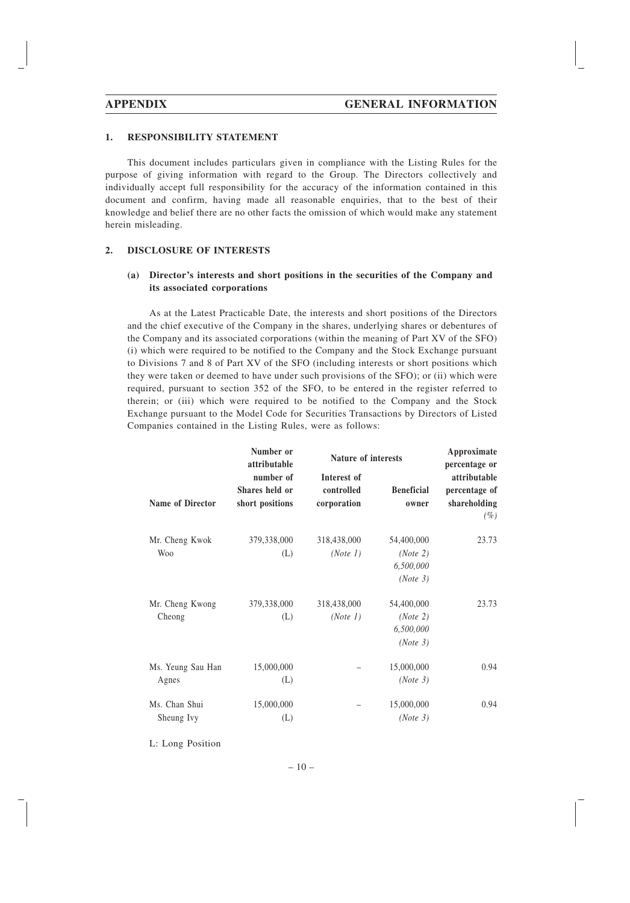#### **1. RESPONSIBILITY STATEMENT**

This document includes particulars given in compliance with the Listing Rules for the purpose of giving information with regard to the Group. The Directors collectively and individually accept full responsibility for the accuracy of the information contained in this document and confirm, having made all reasonable enquiries, that to the best of their knowledge and belief there are no other facts the omission of which would make any statement herein misleading.

#### **2. DISCLOSURE OF INTERESTS**

#### **(a) Director's interests and short positions in the securities of the Company and its associated corporations**

As at the Latest Practicable Date, the interests and short positions of the Directors and the chief executive of the Company in the shares, underlying shares or debentures of the Company and its associated corporations (within the meaning of Part XV of the SFO) (i) which were required to be notified to the Company and the Stock Exchange pursuant to Divisions 7 and 8 of Part XV of the SFO (including interests or short positions which they were taken or deemed to have under such provisions of the SFO); or (ii) which were required, pursuant to section 352 of the SFO, to be entered in the register referred to therein; or (iii) which were required to be notified to the Company and the Stock Exchange pursuant to the Model Code for Securities Transactions by Directors of Listed Companies contained in the Listing Rules, were as follows:

| Number or<br>attributable    |                                                | Nature of interests                      |                                                 | Approximate<br>percentage or                            |  |
|------------------------------|------------------------------------------------|------------------------------------------|-------------------------------------------------|---------------------------------------------------------|--|
| Name of Director             | number of<br>Shares held or<br>short positions | Interest of<br>controlled<br>corporation | <b>Beneficial</b><br>owner                      | attributable<br>percentage of<br>shareholding<br>$(\%)$ |  |
| Mr. Cheng Kwok<br><b>Woo</b> | 379,338,000<br>(L)                             | 318,438,000<br>(Note 1)                  | 54,400,000<br>(Note 2)<br>6,500,000<br>(Note 3) | 23.73                                                   |  |
| Mr. Cheng Kwong<br>Cheong    | 379,338,000<br>(L)                             | 318,438,000<br>(Note 1)                  | 54,400,000<br>(Note 2)<br>6,500,000<br>(Note 3) | 23.73                                                   |  |
| Ms. Yeung Sau Han<br>Agnes   | 15,000,000<br>(L)                              |                                          | 15,000,000<br>(Note 3)                          | 0.94                                                    |  |
| Ms. Chan Shui<br>Sheung Ivy  | 15,000,000<br>(L)                              |                                          | 15,000,000<br>(Note 3)                          | 0.94                                                    |  |

L: Long Position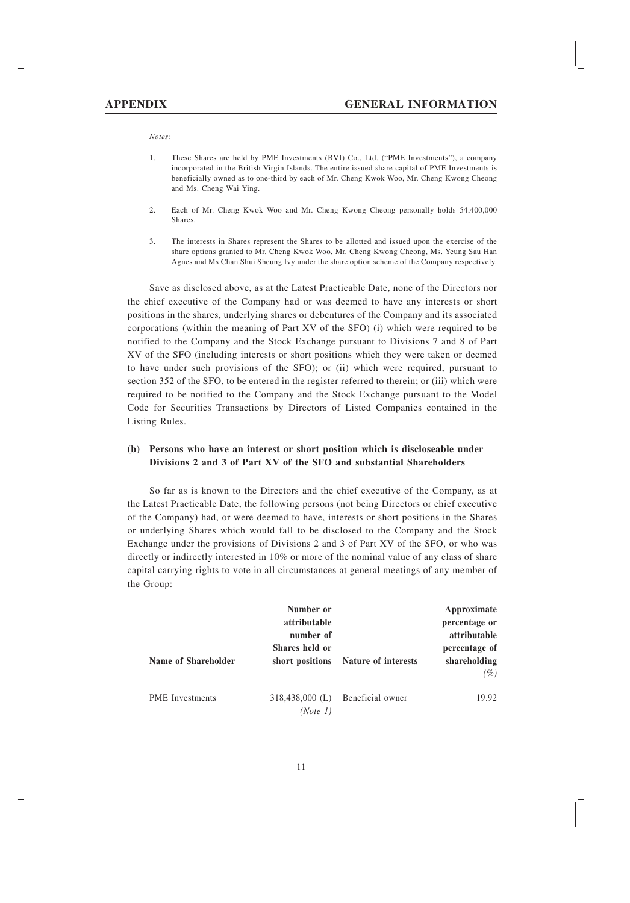*Notes:*

- 1. These Shares are held by PME Investments (BVI) Co., Ltd. ("PME Investments"), a company incorporated in the British Virgin Islands. The entire issued share capital of PME Investments is beneficially owned as to one-third by each of Mr. Cheng Kwok Woo, Mr. Cheng Kwong Cheong and Ms. Cheng Wai Ying.
- 2. Each of Mr. Cheng Kwok Woo and Mr. Cheng Kwong Cheong personally holds 54,400,000 Shares.
- 3. The interests in Shares represent the Shares to be allotted and issued upon the exercise of the share options granted to Mr. Cheng Kwok Woo, Mr. Cheng Kwong Cheong, Ms. Yeung Sau Han Agnes and Ms Chan Shui Sheung Ivy under the share option scheme of the Company respectively.

Save as disclosed above, as at the Latest Practicable Date, none of the Directors nor the chief executive of the Company had or was deemed to have any interests or short positions in the shares, underlying shares or debentures of the Company and its associated corporations (within the meaning of Part XV of the SFO) (i) which were required to be notified to the Company and the Stock Exchange pursuant to Divisions 7 and 8 of Part XV of the SFO (including interests or short positions which they were taken or deemed to have under such provisions of the SFO); or (ii) which were required, pursuant to section 352 of the SFO, to be entered in the register referred to therein; or (iii) which were required to be notified to the Company and the Stock Exchange pursuant to the Model Code for Securities Transactions by Directors of Listed Companies contained in the Listing Rules.

#### **(b) Persons who have an interest or short position which is discloseable under Divisions 2 and 3 of Part XV of the SFO and substantial Shareholders**

So far as is known to the Directors and the chief executive of the Company, as at the Latest Practicable Date, the following persons (not being Directors or chief executive of the Company) had, or were deemed to have, interests or short positions in the Shares or underlying Shares which would fall to be disclosed to the Company and the Stock Exchange under the provisions of Divisions 2 and 3 of Part XV of the SFO, or who was directly or indirectly interested in 10% or more of the nominal value of any class of share capital carrying rights to vote in all circumstances at general meetings of any member of the Group:

|                        | Number or<br>attributable<br>number of<br>Shares held or |                                     | Approximate<br>percentage or<br>attributable<br>percentage of |
|------------------------|----------------------------------------------------------|-------------------------------------|---------------------------------------------------------------|
| Name of Shareholder    |                                                          | short positions Nature of interests | shareholding<br>$(\%)$                                        |
| <b>PME</b> Investments | $318,438,000$ (L)<br>(Note 1)                            | Beneficial owner                    | 19.92                                                         |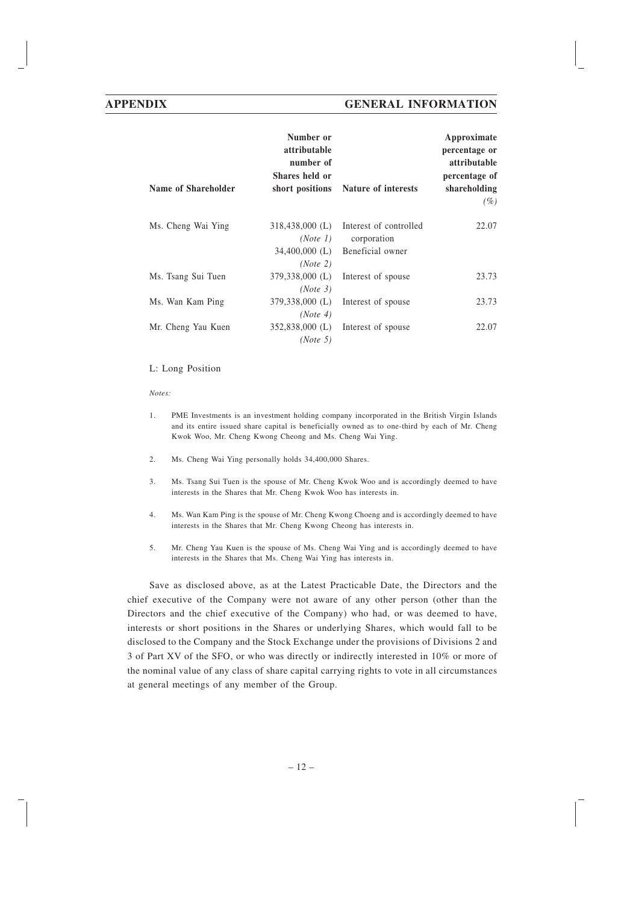| Name of Shareholder | Number or<br>attributable<br>number of<br>Shares held or | short positions Nature of interests                                                      | Approximate<br>percentage or<br>attributable<br>percentage of<br>shareholding<br>(%) |
|---------------------|----------------------------------------------------------|------------------------------------------------------------------------------------------|--------------------------------------------------------------------------------------|
| Ms. Cheng Wai Ying  | (Note 1)                                                 | 318,438,000 (L) Interest of controlled<br>corporation<br>34,400,000 (L) Beneficial owner | 22.07                                                                                |
| Ms. Tsang Sui Tuen  | (Note 2)<br>379,338,000 (L)                              | Interest of spouse                                                                       | 23.73                                                                                |
| Ms. Wan Kam Ping    | (Note 3)<br>379,338,000 (L)                              | Interest of spouse                                                                       | 23.73                                                                                |
| Mr. Cheng Yau Kuen  | (Note 4)<br>352,838,000 (L)<br>(Note 5)                  | Interest of spouse                                                                       | 22.07                                                                                |

#### L: Long Position

*Notes:*

- 1. PME Investments is an investment holding company incorporated in the British Virgin Islands and its entire issued share capital is beneficially owned as to one-third by each of Mr. Cheng Kwok Woo, Mr. Cheng Kwong Cheong and Ms. Cheng Wai Ying.
- 2. Ms. Cheng Wai Ying personally holds 34,400,000 Shares.
- 3. Ms. Tsang Sui Tuen is the spouse of Mr. Cheng Kwok Woo and is accordingly deemed to have interests in the Shares that Mr. Cheng Kwok Woo has interests in.
- 4. Ms. Wan Kam Ping is the spouse of Mr. Cheng Kwong Choeng and is accordingly deemed to have interests in the Shares that Mr. Cheng Kwong Cheong has interests in.
- 5. Mr. Cheng Yau Kuen is the spouse of Ms. Cheng Wai Ying and is accordingly deemed to have interests in the Shares that Ms. Cheng Wai Ying has interests in.

Save as disclosed above, as at the Latest Practicable Date, the Directors and the chief executive of the Company were not aware of any other person (other than the Directors and the chief executive of the Company) who had, or was deemed to have, interests or short positions in the Shares or underlying Shares, which would fall to be disclosed to the Company and the Stock Exchange under the provisions of Divisions 2 and 3 of Part XV of the SFO, or who was directly or indirectly interested in 10% or more of the nominal value of any class of share capital carrying rights to vote in all circumstances at general meetings of any member of the Group.